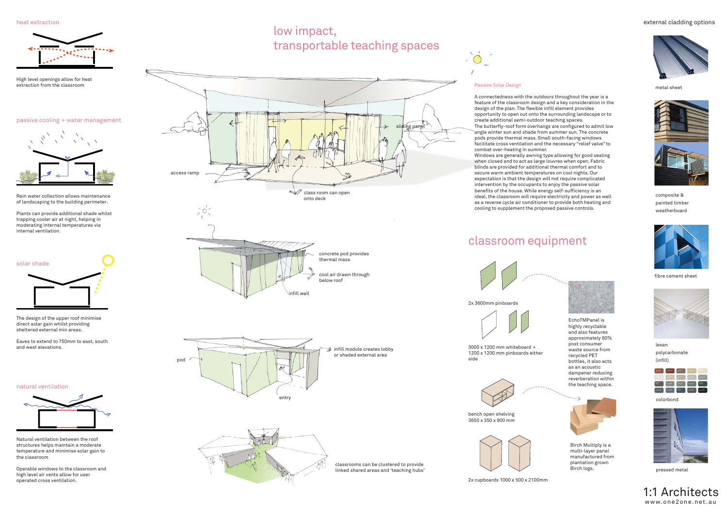concrete pod provides thermal mass

cool air drawn through

below roof

infill wall





access ramp

class room can open

onto deck

 $\vee$ 



fibre cement sheet



lexan polycarbonate (infill)



metal sheet



composite & painted timber weatherboard

#### colorbond



pressed metal

1:1 Architectswww.one2one.net.au

classroom equipment



2x 3600mm pinboards

3000 x 1200 mm whiteboard + 1200 x 1200 mm pinboards either side



bench open shelving 3650 x 350 x 900 mm







Birch Multiply is a multi-layer panel manufactured from plantation grown Birch logs.

EchoTMPanel is highly recyclable and also features approximately 60% post consumer waste source fromrecycled PET bottles, it also acts as an acoustic dampener reducing reverberation within the teaching space.

classrooms can be clustered to provide linked shared areas and 'teaching hubs'

#### Passive Solar Design

A connectedness with the outdoors throughout the year is a feature of the classroom design and a key consideration in the design of the plan. The flexible infill element provides opportunity to open out onto the surrounding landscape or to create additional semi-outdoor teaching spaces. The butterfly-roof form overhangs are configured to admit low angle winter sun and shade from summer sun. The concrete pods provide thermal mass. Small south-facing windows facilitate cross ventilation and the necessary "relief valve" to combat over-heating in summer. Windows are generally awning type allowing for good sealing when closed and to act as large louvres when open. Fabric blinds are provided for additional thermal comfort and to secure warm ambient temperatures on cool nights. Our expectation is that the design will not require complicated intervention by the occupants to enjoy the passive solar benefits of the house. While energy self-sufficiency is an ideal, the classroom will require electricity and power as well as a reverse cycle air conditioner to provide both heating and cooling to supplement the proposed passive controls.

Rain water collection allows maintenance of landscaping to the building perimeter.

Plants can provide additional shade whilst trapping cooler air at night, helping in moderating internal temperatures via internal ventilation.

heat extraction



### external cladding options





### passive cooling + water management



natural ventilation





High level openings allow for heat extraction from the classroom

Natural ventilation between the roof structures helps maintain a moderate temperature and minimise solar gain to the classroom

Operable windows to the classroom and high level air vents allow for user operated cross ventilation.

The design of the upper roof minimise direct solar gain whilst providing sheltered external min areas.

Eaves to extend to 750mm to east, south and west elevations.

# low impact, transportable teaching spaces

sliding panel